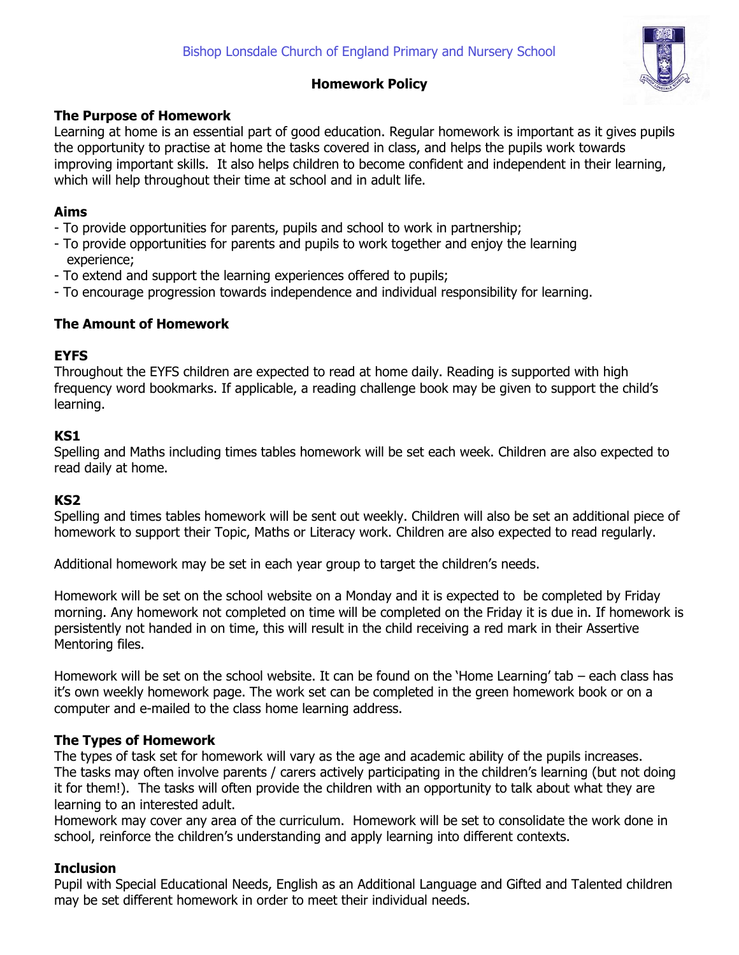

# **Homework Policy**

## **The Purpose of Homework**

Learning at home is an essential part of good education. Regular homework is important as it gives pupils the opportunity to practise at home the tasks covered in class, and helps the pupils work towards improving important skills. It also helps children to become confident and independent in their learning, which will help throughout their time at school and in adult life.

# **Aims**

- To provide opportunities for parents, pupils and school to work in partnership;
- To provide opportunities for parents and pupils to work together and enjoy the learning experience;
- To extend and support the learning experiences offered to pupils;
- To encourage progression towards independence and individual responsibility for learning.

## **The Amount of Homework**

## **EYFS**

Throughout the EYFS children are expected to read at home daily. Reading is supported with high frequency word bookmarks. If applicable, a reading challenge book may be given to support the child's learning.

## **KS1**

Spelling and Maths including times tables homework will be set each week. Children are also expected to read daily at home.

### **KS2**

Spelling and times tables homework will be sent out weekly. Children will also be set an additional piece of homework to support their Topic, Maths or Literacy work. Children are also expected to read regularly.

Additional homework may be set in each year group to target the children's needs.

Homework will be set on the school website on a Monday and it is expected to be completed by Friday morning. Any homework not completed on time will be completed on the Friday it is due in. If homework is persistently not handed in on time, this will result in the child receiving a red mark in their Assertive Mentoring files.

Homework will be set on the school website. It can be found on the 'Home Learning' tab – each class has it's own weekly homework page. The work set can be completed in the green homework book or on a computer and e-mailed to the class home learning address.

# **The Types of Homework**

The types of task set for homework will vary as the age and academic ability of the pupils increases. The tasks may often involve parents / carers actively participating in the children's learning (but not doing it for them!). The tasks will often provide the children with an opportunity to talk about what they are learning to an interested adult.

Homework may cover any area of the curriculum. Homework will be set to consolidate the work done in school, reinforce the children's understanding and apply learning into different contexts.

# **Inclusion**

Pupil with Special Educational Needs, English as an Additional Language and Gifted and Talented children may be set different homework in order to meet their individual needs.